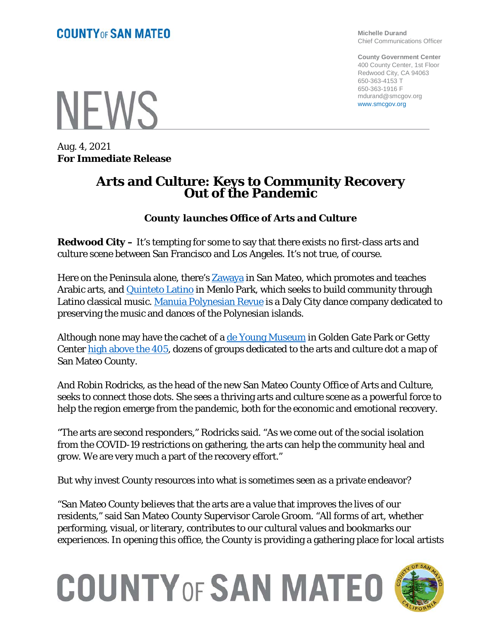**NFWS** 

Aug. 4, 2021 **For Immediate Release**

#### **Michelle Durand** Chief Communications Officer

**County Government Center** 400 County Center, 1st Floor Redwood City, CA 94063 650-363-4153 T 650-363-1916 F mdurand@smcgov.org www.smcgov.org

**Arts and Culture: Keys to Community Recovery Out of the Pandemic**

### *County launches Office of Arts and Culture*

**Redwood City –** It's tempting for some to say that there exists no first-class arts and culture scene between San Francisco and Los Angeles. It's not true, of course.

Here on the Peninsula alone, there's **Zawaya** in San Mateo, which promotes and teaches Arabic arts, and [Quinteto Latino](https://quintetolatino.org/about/) in Menlo Park, which seeks to build community through Latino classical music. [Manuia Polynesian Revue](https://www.manuiapolynesia.com/) is a Daly City dance company dedicated to preserving the music and dances of the Polynesian islands.

Although none may have the cachet of a <u>de Young Museum</u> in Golden Gate Park or Getty Center [high above the 405,](https://goo.gl/maps/QukTieFk9rm3D6kWA) dozens of groups dedicated to the arts and culture dot a map of San Mateo County.

And Robin Rodricks, as the head of the new San Mateo County Office of Arts and Culture, seeks to connect those dots. She sees a thriving arts and culture scene as a powerful force to help the region emerge from the pandemic, both for the economic and emotional recovery.

"The arts are second responders," Rodricks said. "As we come out of the social isolation from the COVID-19 restrictions on gathering, the arts can help the community heal and grow. We are very much a part of the recovery effort."

But why invest County resources into what is sometimes seen as a private endeavor?

"San Mateo County believes that the arts are a value that improves the lives of our residents," said San Mateo County Supervisor Carole Groom. "All forms of art, whether performing, visual, or literary, contributes to our cultural values and bookmarks our experiences. In opening this office, the County is providing a gathering place for local artists

## **COUNTY OF SAN MATEO**

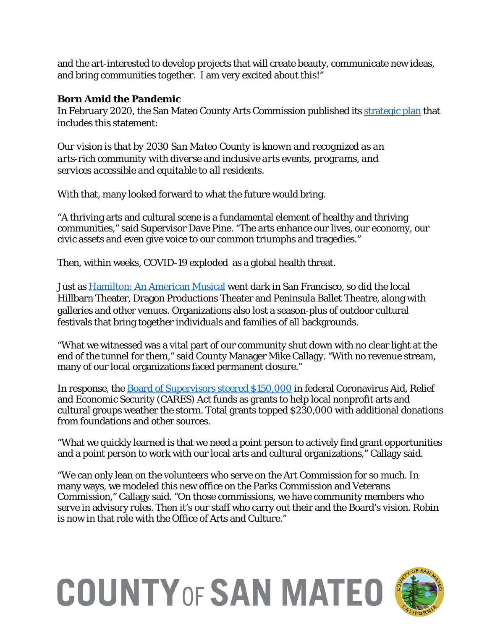and the art-interested to develop projects that will create beauty, communicate new ideas, and bring communities together. I am very excited about this!"

### **Born Amid the Pandemic**

In February 2020, the San Mateo County Arts Commission published its [strategic plan](https://cmo.smcgov.org/sites/cmo.smcgov.org/files/Strategic%20Plan%20-%20Final%2012-18-19%20RRMG.pdf) that includes this statement:

*Our vision is that by 2030 San Mateo County is known and recognized as an arts-rich community with diverse and inclusive arts events, programs, and services accessible and equitable to all residents.*

With that, many looked forward to what the future would bring.

"A thriving arts and cultural scene is a fundamental element of healthy and thriving communities," said Supervisor Dave Pine. "The arts enhance our lives, our economy, our civic assets and even give voice to our common triumphs and tragedies."

Then, within weeks, COVID-19 exploded as a global health threat.

Just as Hamilton: An [American Musical](https://hamiltonmusical.com/new-york/home/) went dark in San Francisco, so did the local Hillbarn Theater, Dragon Productions Theater and Peninsula Ballet Theatre, along with galleries and other venues. Organizations also lost a season-plus of outdoor cultural festivals that bring together individuals and families of all backgrounds.

"What we witnessed was a vital part of our community shut down with no clear light at the end of the tunnel for them," said County Manager Mike Callagy. "With no revenue stream, many of our local organizations faced permanent closure."

In response, the **Board of Supervisors steered \$150,000** in federal Coronavirus Aid, Relief and Economic Security (CARES) Act funds as grants to help local nonprofit arts and cultural groups weather the storm. Total grants topped \$230,000 with additional donations from foundations and other sources.

"What we quickly learned is that we need a point person to actively find grant opportunities and a point person to work with our local arts and cultural organizations," Callagy said.

"We can only lean on the volunteers who serve on the Art Commission for so much. In many ways, we modeled this new office on the Parks Commission and Veterans Commission," Callagy said. "On those commissions, we have community members who serve in advisory roles. Then it's our staff who carry out their and the Board's vision. Robin is now in that role with the Office of Arts and Culture."

# **COUNTY OF SAN MATEO**